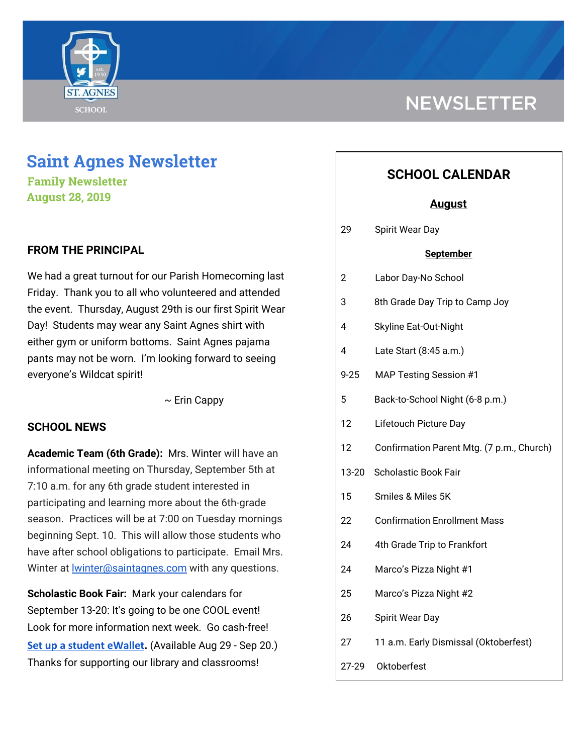

# **Saint Agnes Newsletter**

**Family Newsletter August 28, 2019**

### **FROM THE PRINCIPAL**

We had a great turnout for our Parish Homecoming last Friday. Thank you to all who volunteered and attended the event. Thursday, August 29th is our first Spirit Wear Day! Students may wear any Saint Agnes shirt with either gym or uniform bottoms. Saint Agnes pajama pants may not be worn. I'm looking forward to seeing everyone's Wildcat spirit!

 $\sim$  Erin Cappy

#### **SCHOOL NEWS**

**Academic Team (6th Grade):** Mrs. Winter will have an informational meeting on Thursday, September 5th at 7:10 a.m. for any 6th grade student interested in participating and learning more about the 6th-grade season. Practices will be at 7:00 on Tuesday mornings beginning Sept. 10. This will allow those students who have after school obligations to participate. Email Mrs. Winter at [lwinter@saintagnes.com](mailto:lwinter@saintagnes.com) with any questions.

**Scholastic Book Fair:** Mark your calendars for September 13-20: It's going to be one COOL event! Look for more information next week. Go cash-free! **[Set up a student eWallet.](https://bookfairs.scholastic.com/bf/stagnesschool9)** (Available Aug 29 - Sep 20.) Thanks for supporting our library and classrooms!

## **NEWSLETTER**

## **SCHOOL CALENDAR**

#### **August**

29 Spirit Wear Day

#### **September**

- 2 Labor Day-No School
- 3 8th Grade Day Trip to Camp Joy
- 4 Skyline Eat-Out-Night
- 4 Late Start (8:45 a.m.)
- 9-25 MAP Testing Session #1
- 5 Back-to-School Night (6-8 p.m.)
- 12 Lifetouch Picture Day
- 12 Confirmation Parent Mtg. (7 p.m., Church)
- 13-20 Scholastic Book Fair
- 15 Smiles & Miles 5K
- 22 Confirmation Enrollment Mass
- 24 4th Grade Trip to Frankfort
- 24 Marco's Pizza Night #1
- 25 Marco's Pizza Night #2
- 26 Spirit Wear Day
- 27 11 a.m. Early Dismissal (Oktoberfest)
- 27-29 Oktoberfest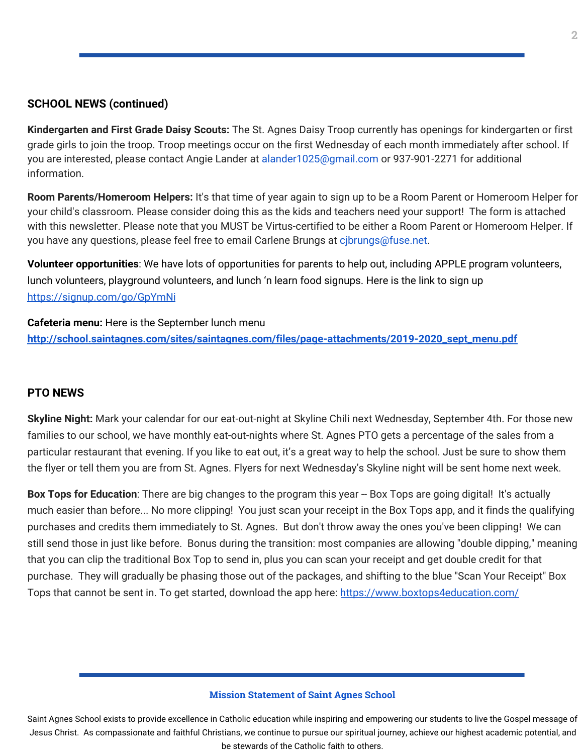#### **SCHOOL NEWS (continued)**

**Kindergarten and First Grade Daisy Scouts:** The St. Agnes Daisy Troop currently has openings for kindergarten or first grade girls to join the troop. Troop meetings occur on the first Wednesday of each month immediately after school. If you are interested, please contact Angie Lander at alander1025@gmail.com or 937-901-2271 for additional information.

**Room Parents/Homeroom Helpers:** It's that time of year again to sign up to be a Room Parent or Homeroom Helper for your child's classroom. Please consider doing this as the kids and teachers need your support! The form is attached with this newsletter. Please note that you MUST be Virtus-certified to be either a Room Parent or Homeroom Helper. If you have any questions, please feel free to email Carlene Brungs at cibrungs@fuse.net.

**Volunteer opportunities**: We have lots of opportunities for parents to help out, including APPLE program volunteers, lunch volunteers, playground volunteers, and lunch 'n learn food signups. Here is the link to sign up <https://signup.com/go/GpYmNi>

**Cafeteria menu:** Here is the September lunch menu **[http://school.saintagnes.com/sites/saintagnes.com/files/page-attachments/2019-2020\\_sept\\_menu.pdf](http://school.saintagnes.com/sites/saintagnes.com/files/page-attachments/2019-2020_sept_menu.pdf)**

#### **PTO NEWS**

**Skyline Night:** Mark your calendar for our eat-out-night at Skyline Chili next Wednesday, September 4th. For those new families to our school, we have monthly eat-out-nights where St. Agnes PTO gets a percentage of the sales from a particular restaurant that evening. If you like to eat out, it's a great way to help the school. Just be sure to show them the flyer or tell them you are from St. Agnes. Flyers for next Wednesday's Skyline night will be sent home next week.

**Box Tops for Education**: There are big changes to the program this year -- Box Tops are going digital! It's actually much easier than before... No more clipping! You just scan your receipt in the Box Tops app, and it finds the qualifying purchases and credits them immediately to St. Agnes. But don't throw away the ones you've been clipping! We can still send those in just like before. Bonus during the transition: most companies are allowing "double dipping," meaning that you can clip the traditional Box Top to send in, plus you can scan your receipt and get double credit for that purchase. They will gradually be phasing those out of the packages, and shifting to the blue "Scan Your Receipt" Box Tops that cannot be sent in. To get started, download the app here: <https://www.boxtops4education.com/>

#### **Mission Statement of Saint Agnes School**

Saint Agnes School exists to provide excellence in Catholic education while inspiring and empowering our students to live the Gospel message of Jesus Christ. As compassionate and faithful Christians, we continue to pursue our spiritual journey, achieve our highest academic potential, and be stewards of the Catholic faith to others.